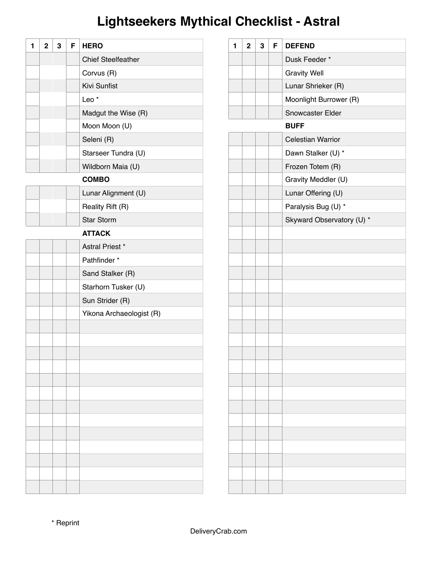# **Lightseekers Mythical Checklist - Astral**

| 1 | $\mathbf 2$ | 3 | F | <b>HERO</b>               |
|---|-------------|---|---|---------------------------|
|   |             |   |   | <b>Chief Steelfeather</b> |
|   |             |   |   | Corvus (R)                |
|   |             |   |   | Kivi Sunfist              |
|   |             |   |   | Leo <sup>*</sup>          |
|   |             |   |   | Madgut the Wise (R)       |
|   |             |   |   | Moon Moon (U)             |
|   |             |   |   | Seleni (R)                |
|   |             |   |   | Starseer Tundra (U)       |
|   |             |   |   | Wildborn Maia (U)         |
|   |             |   |   | <b>COMBO</b>              |
|   |             |   |   | Lunar Alignment (U)       |
|   |             |   |   | Reality Rift (R)          |
|   |             |   |   | <b>Star Storm</b>         |
|   |             |   |   | <b>ATTACK</b>             |
|   |             |   |   | Astral Priest *           |
|   |             |   |   | Pathfinder *              |
|   |             |   |   | Sand Stalker (R)          |
|   |             |   |   | Starhorn Tusker (U)       |
|   |             |   |   | Sun Strider (R)           |
|   |             |   |   | Yikona Archaeologist (R)  |
|   |             |   |   |                           |
|   |             |   |   |                           |
|   |             |   |   |                           |
|   |             |   |   |                           |
|   |             |   |   |                           |
|   |             |   |   |                           |
|   |             |   |   |                           |
|   |             |   |   |                           |
|   |             |   |   |                           |
|   |             |   |   |                           |
|   |             |   |   |                           |
|   |             |   |   |                           |
|   |             |   |   |                           |

| 1 | $\overline{2}$ | 3 | F | <b>DEFEND</b>             |
|---|----------------|---|---|---------------------------|
|   |                |   |   | Dusk Feeder *             |
|   |                |   |   | <b>Gravity Well</b>       |
|   |                |   |   | Lunar Shrieker (R)        |
|   |                |   |   | Moonlight Burrower (R)    |
|   |                |   |   | Snowcaster Elder          |
|   |                |   |   | <b>BUFF</b>               |
|   |                |   |   | <b>Celestian Warrior</b>  |
|   |                |   |   | Dawn Stalker (U) *        |
|   |                |   |   | Frozen Totem (R)          |
|   |                |   |   | Gravity Meddler (U)       |
|   |                |   |   | Lunar Offering (U)        |
|   |                |   |   | Paralysis Bug (U) *       |
|   |                |   |   | Skyward Observatory (U) * |
|   |                |   |   |                           |
|   |                |   |   |                           |
|   |                |   |   |                           |
|   |                |   |   |                           |
|   |                |   |   |                           |
|   |                |   |   |                           |
|   |                |   |   |                           |
|   |                |   |   |                           |
|   |                |   |   |                           |
|   |                |   |   |                           |
|   |                |   |   |                           |
|   |                |   |   |                           |
|   |                |   |   |                           |
|   |                |   |   |                           |
|   |                |   |   |                           |
|   |                |   |   |                           |
|   |                |   |   |                           |
|   |                |   |   |                           |
|   |                |   |   |                           |
|   |                |   |   |                           |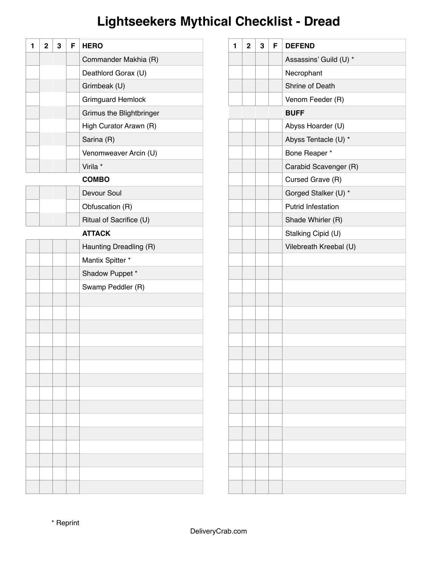## **Lightseekers Mythical Checklist - Dread**

| 1 | $\mathbf 2$ | 3 | F | <b>HERO</b>              |
|---|-------------|---|---|--------------------------|
|   |             |   |   | Commander Makhia (R)     |
|   |             |   |   | Deathlord Gorax (U)      |
|   |             |   |   | Grimbeak (U)             |
|   |             |   |   | Grimguard Hemlock        |
|   |             |   |   | Grimus the Blightbringer |
|   |             |   |   | High Curator Arawn (R)   |
|   |             |   |   | Sarina (R)               |
|   |             |   |   | Venomweaver Arcin (U)    |
|   |             |   |   | Virila *                 |
|   |             |   |   | <b>COMBO</b>             |
|   |             |   |   | Devour Soul              |
|   |             |   |   | Obfuscation (R)          |
|   |             |   |   | Ritual of Sacrifice (U)  |
|   |             |   |   | <b>ATTACK</b>            |
|   |             |   |   | Haunting Dreadling (R)   |
|   |             |   |   | Mantix Spitter *         |
|   |             |   |   | Shadow Puppet *          |
|   |             |   |   | Swamp Peddler (R)        |
|   |             |   |   |                          |
|   |             |   |   |                          |
|   |             |   |   |                          |
|   |             |   |   |                          |
|   |             |   |   |                          |
|   |             |   |   |                          |
|   |             |   |   |                          |
|   |             |   |   |                          |
|   |             |   |   |                          |
|   |             |   |   |                          |
|   |             |   |   |                          |
|   |             |   |   |                          |
|   |             |   |   |                          |
|   |             |   |   |                          |
|   |             |   |   |                          |

| 1 | $\overline{2}$ | 3 | F | <b>DEFEND</b>             |
|---|----------------|---|---|---------------------------|
|   |                |   |   | Assassins' Guild (U) *    |
|   |                |   |   | Necrophant                |
|   |                |   |   | Shrine of Death           |
|   |                |   |   | Venom Feeder (R)          |
|   |                |   |   | <b>BUFF</b>               |
|   |                |   |   | Abyss Hoarder (U)         |
|   |                |   |   | Abyss Tentacle (U) *      |
|   |                |   |   | Bone Reaper *             |
|   |                |   |   | Carabid Scavenger (R)     |
|   |                |   |   | Cursed Grave (R)          |
|   |                |   |   | Gorged Stalker (U) *      |
|   |                |   |   | <b>Putrid Infestation</b> |
|   |                |   |   | Shade Whirler (R)         |
|   |                |   |   | Stalking Cipid (U)        |
|   |                |   |   | Vilebreath Kreebal (U)    |
|   |                |   |   |                           |
|   |                |   |   |                           |
|   |                |   |   |                           |
|   |                |   |   |                           |
|   |                |   |   |                           |
|   |                |   |   |                           |
|   |                |   |   |                           |
|   |                |   |   |                           |
|   |                |   |   |                           |
|   |                |   |   |                           |
|   |                |   |   |                           |
|   |                |   |   |                           |
|   |                |   |   |                           |
|   |                |   |   |                           |
|   |                |   |   |                           |
|   |                |   |   |                           |
|   |                |   |   |                           |
|   |                |   |   |                           |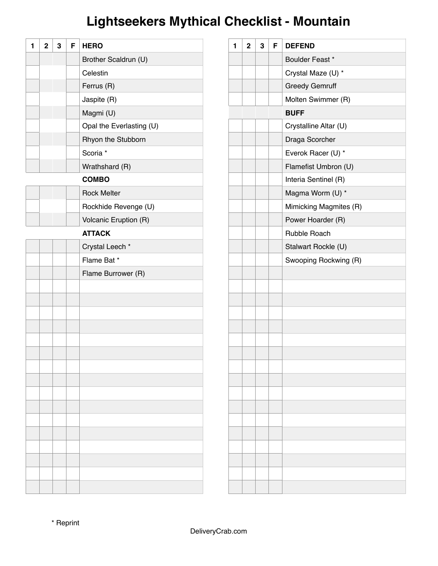## **Lightseekers Mythical Checklist - Mountain**

| 1 | $\overline{2}$ | 3 | F | <b>HERO</b>              |
|---|----------------|---|---|--------------------------|
|   |                |   |   | Brother Scaldrun (U)     |
|   |                |   |   | Celestin                 |
|   |                |   |   | Ferrus (R)               |
|   |                |   |   | Jaspite (R)              |
|   |                |   |   | Magmi (U)                |
|   |                |   |   | Opal the Everlasting (U) |
|   |                |   |   | Rhyon the Stubborn       |
|   |                |   |   | Scoria *                 |
|   |                |   |   | Wrathshard (R)           |
|   |                |   |   | <b>COMBO</b>             |
|   |                |   |   | <b>Rock Melter</b>       |
|   |                |   |   | Rockhide Revenge (U)     |
|   |                |   |   | Volcanic Eruption (R)    |
|   |                |   |   | <b>ATTACK</b>            |
|   |                |   |   | Crystal Leech *          |
|   |                |   |   | Flame Bat*               |
|   |                |   |   | Flame Burrower (R)       |
|   |                |   |   |                          |
|   |                |   |   |                          |
|   |                |   |   |                          |
|   |                |   |   |                          |
|   |                |   |   |                          |
|   |                |   |   |                          |
|   |                |   |   |                          |
|   |                |   |   |                          |
|   |                |   |   |                          |
|   |                |   |   |                          |
|   |                |   |   |                          |
|   |                |   |   |                          |
|   |                |   |   |                          |
|   |                |   |   |                          |
|   |                |   |   |                          |
|   |                |   |   |                          |

| 1 | $\mathbf 2$ | 3 | F | <b>DEFEND</b>          |
|---|-------------|---|---|------------------------|
|   |             |   |   | Boulder Feast *        |
|   |             |   |   | Crystal Maze (U) *     |
|   |             |   |   | <b>Greedy Gemruff</b>  |
|   |             |   |   | Molten Swimmer (R)     |
|   |             |   |   | <b>BUFF</b>            |
|   |             |   |   | Crystalline Altar (U)  |
|   |             |   |   | Draga Scorcher         |
|   |             |   |   | Everok Racer (U) *     |
|   |             |   |   | Flamefist Umbron (U)   |
|   |             |   |   | Interia Sentinel (R)   |
|   |             |   |   | Magma Worm (U) *       |
|   |             |   |   | Mimicking Magmites (R) |
|   |             |   |   | Power Hoarder (R)      |
|   |             |   |   | Rubble Roach           |
|   |             |   |   | Stalwart Rockle (U)    |
|   |             |   |   | Swooping Rockwing (R)  |
|   |             |   |   |                        |
|   |             |   |   |                        |
|   |             |   |   |                        |
|   |             |   |   |                        |
|   |             |   |   |                        |
|   |             |   |   |                        |
|   |             |   |   |                        |
|   |             |   |   |                        |
|   |             |   |   |                        |
|   |             |   |   |                        |
|   |             |   |   |                        |
|   |             |   |   |                        |
|   |             |   |   |                        |
|   |             |   |   |                        |
|   |             |   |   |                        |
|   |             |   |   |                        |
|   |             |   |   |                        |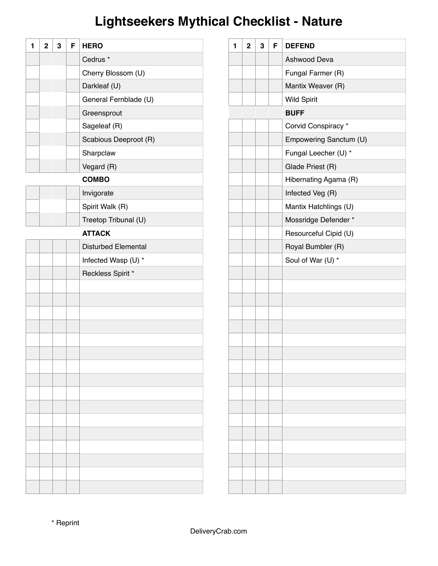## **Lightseekers Mythical Checklist - Nature**

| 1 | $\mathbf 2$ | 3 | F | <b>HERO</b>                |
|---|-------------|---|---|----------------------------|
|   |             |   |   | Cedrus <sup>*</sup>        |
|   |             |   |   | Cherry Blossom (U)         |
|   |             |   |   | Darkleaf (U)               |
|   |             |   |   | General Fernblade (U)      |
|   |             |   |   | Greensprout                |
|   |             |   |   | Sageleaf (R)               |
|   |             |   |   | Scabious Deeproot (R)      |
|   |             |   |   | Sharpclaw                  |
|   |             |   |   | Vegard (R)                 |
|   |             |   |   | <b>COMBO</b>               |
|   |             |   |   | Invigorate                 |
|   |             |   |   | Spirit Walk (R)            |
|   |             |   |   | Treetop Tribunal (U)       |
|   |             |   |   | <b>ATTACK</b>              |
|   |             |   |   | <b>Disturbed Elemental</b> |
|   |             |   |   | Infected Wasp (U) *        |
|   |             |   |   | Reckless Spirit *          |
|   |             |   |   |                            |
|   |             |   |   |                            |
|   |             |   |   |                            |
|   |             |   |   |                            |
|   |             |   |   |                            |
|   |             |   |   |                            |
|   |             |   |   |                            |
|   |             |   |   |                            |
|   |             |   |   |                            |
|   |             |   |   |                            |
|   |             |   |   |                            |
|   |             |   |   |                            |
|   |             |   |   |                            |
|   |             |   |   |                            |
|   |             |   |   |                            |
|   |             |   |   |                            |

| 1 | $\overline{2}$ | 3 | F | <b>DEFEND</b>          |
|---|----------------|---|---|------------------------|
|   |                |   |   | Ashwood Deva           |
|   |                |   |   | Fungal Farmer (R)      |
|   |                |   |   | Mantix Weaver (R)      |
|   |                |   |   | <b>Wild Spirit</b>     |
|   |                |   |   | <b>BUFF</b>            |
|   |                |   |   | Corvid Conspiracy *    |
|   |                |   |   | Empowering Sanctum (U) |
|   |                |   |   | Fungal Leecher (U) *   |
|   |                |   |   | Glade Priest (R)       |
|   |                |   |   | Hibernating Agama (R)  |
|   |                |   |   | Infected Veg (R)       |
|   |                |   |   | Mantix Hatchlings (U)  |
|   |                |   |   | Mossridge Defender *   |
|   |                |   |   | Resourceful Cipid (U)  |
|   |                |   |   | Royal Bumbler (R)      |
|   |                |   |   | Soul of War (U) *      |
|   |                |   |   |                        |
|   |                |   |   |                        |
|   |                |   |   |                        |
|   |                |   |   |                        |
|   |                |   |   |                        |
|   |                |   |   |                        |
|   |                |   |   |                        |
|   |                |   |   |                        |
|   |                |   |   |                        |
|   |                |   |   |                        |
|   |                |   |   |                        |
|   |                |   |   |                        |
|   |                |   |   |                        |
|   |                |   |   |                        |
|   |                |   |   |                        |
|   |                |   |   |                        |
|   |                |   |   |                        |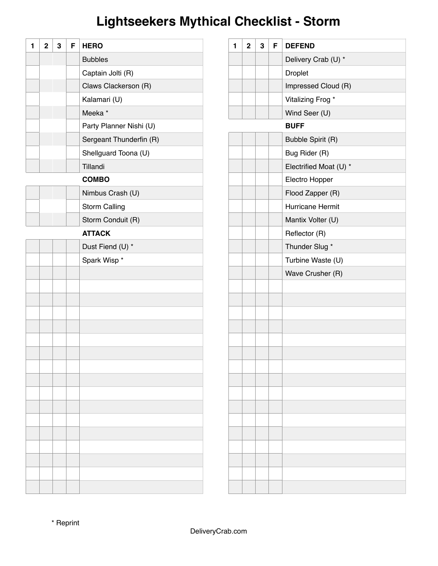## **Lightseekers Mythical Checklist - Storm**

| 1 | $\overline{2}$ | 3 | F | <b>HERO</b>             |
|---|----------------|---|---|-------------------------|
|   |                |   |   | <b>Bubbles</b>          |
|   |                |   |   | Captain Jolti (R)       |
|   |                |   |   | Claws Clackerson (R)    |
|   |                |   |   | Kalamari (U)            |
|   |                |   |   | Meeka <sup>*</sup>      |
|   |                |   |   | Party Planner Nishi (U) |
|   |                |   |   | Sergeant Thunderfin (R) |
|   |                |   |   | Shellguard Toona (U)    |
|   |                |   |   | Tillandi                |
|   |                |   |   | <b>COMBO</b>            |
|   |                |   |   | Nimbus Crash (U)        |
|   |                |   |   | <b>Storm Calling</b>    |
|   |                |   |   | Storm Conduit (R)       |
|   |                |   |   | <b>ATTACK</b>           |
|   |                |   |   | Dust Fiend (U) *        |
|   |                |   |   | Spark Wisp *            |
|   |                |   |   |                         |
|   |                |   |   |                         |
|   |                |   |   |                         |
|   |                |   |   |                         |
|   |                |   |   |                         |
|   |                |   |   |                         |
|   |                |   |   |                         |
|   |                |   |   |                         |
|   |                |   |   |                         |
|   |                |   |   |                         |
|   |                |   |   |                         |
|   |                |   |   |                         |
|   |                |   |   |                         |
|   |                |   |   |                         |
|   |                |   |   |                         |
|   |                |   |   |                         |
|   |                |   |   |                         |

| 1 | $\overline{2}$ | 3 | F | <b>DEFEND</b>           |
|---|----------------|---|---|-------------------------|
|   |                |   |   | Delivery Crab (U) *     |
|   |                |   |   | <b>Droplet</b>          |
|   |                |   |   | Impressed Cloud (R)     |
|   |                |   |   | Vitalizing Frog *       |
|   |                |   |   | Wind Seer (U)           |
|   |                |   |   | <b>BUFF</b>             |
|   |                |   |   | Bubble Spirit (R)       |
|   |                |   |   | Bug Rider (R)           |
|   |                |   |   | Electrified Moat (U) *  |
|   |                |   |   | Electro Hopper          |
|   |                |   |   | Flood Zapper (R)        |
|   |                |   |   | <b>Hurricane Hermit</b> |
|   |                |   |   | Mantix Volter (U)       |
|   |                |   |   | Reflector (R)           |
|   |                |   |   | Thunder Slug *          |
|   |                |   |   | Turbine Waste (U)       |
|   |                |   |   | Wave Crusher (R)        |
|   |                |   |   |                         |
|   |                |   |   |                         |
|   |                |   |   |                         |
|   |                |   |   |                         |
|   |                |   |   |                         |
|   |                |   |   |                         |
|   |                |   |   |                         |
|   |                |   |   |                         |
|   |                |   |   |                         |
|   |                |   |   |                         |
|   |                |   |   |                         |
|   |                |   |   |                         |
|   |                |   |   |                         |
|   |                |   |   |                         |
|   |                |   |   |                         |
|   |                |   |   |                         |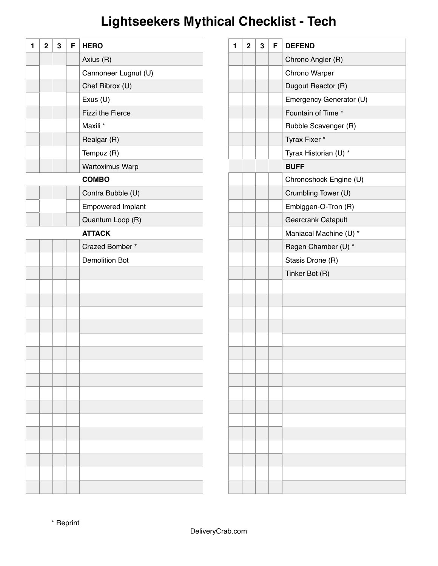## **Lightseekers Mythical Checklist - Tech**

| 1 | $\overline{2}$ | 3 | F | <b>HERO</b>              |
|---|----------------|---|---|--------------------------|
|   |                |   |   | Axius (R)                |
|   |                |   |   | Cannoneer Lugnut (U)     |
|   |                |   |   | Chef Ribrox (U)          |
|   |                |   |   | Exus (U)                 |
|   |                |   |   | <b>Fizzi the Fierce</b>  |
|   |                |   |   | Maxili *                 |
|   |                |   |   | Realgar (R)              |
|   |                |   |   | Tempuz (R)               |
|   |                |   |   | Wartoximus Warp          |
|   |                |   |   | <b>COMBO</b>             |
|   |                |   |   | Contra Bubble (U)        |
|   |                |   |   | <b>Empowered Implant</b> |
|   |                |   |   | Quantum Loop (R)         |
|   |                |   |   | <b>ATTACK</b>            |
|   |                |   |   | Crazed Bomber*           |
|   |                |   |   | <b>Demolition Bot</b>    |
|   |                |   |   |                          |
|   |                |   |   |                          |
|   |                |   |   |                          |
|   |                |   |   |                          |
|   |                |   |   |                          |
|   |                |   |   |                          |
|   |                |   |   |                          |
|   |                |   |   |                          |
|   |                |   |   |                          |
|   |                |   |   |                          |
|   |                |   |   |                          |
|   |                |   |   |                          |
|   |                |   |   |                          |
|   |                |   |   |                          |
|   |                |   |   |                          |
|   |                |   |   |                          |
|   |                |   |   |                          |

| 1 | $\overline{2}$ | 3 | F | <b>DEFEND</b>           |
|---|----------------|---|---|-------------------------|
|   |                |   |   | Chrono Angler (R)       |
|   |                |   |   | Chrono Warper           |
|   |                |   |   | Dugout Reactor (R)      |
|   |                |   |   | Emergency Generator (U) |
|   |                |   |   | Fountain of Time *      |
|   |                |   |   | Rubble Scavenger (R)    |
|   |                |   |   | Tyrax Fixer *           |
|   |                |   |   | Tyrax Historian (U) *   |
|   |                |   |   | <b>BUFF</b>             |
|   |                |   |   | Chronoshock Engine (U)  |
|   |                |   |   | Crumbling Tower (U)     |
|   |                |   |   | Embiggen-O-Tron (R)     |
|   |                |   |   | Gearcrank Catapult      |
|   |                |   |   | Maniacal Machine (U) *  |
|   |                |   |   | Regen Chamber (U) *     |
|   |                |   |   | Stasis Drone (R)        |
|   |                |   |   | Tinker Bot (R)          |
|   |                |   |   |                         |
|   |                |   |   |                         |
|   |                |   |   |                         |
|   |                |   |   |                         |
|   |                |   |   |                         |
|   |                |   |   |                         |
|   |                |   |   |                         |
|   |                |   |   |                         |
|   |                |   |   |                         |
|   |                |   |   |                         |
|   |                |   |   |                         |
|   |                |   |   |                         |
|   |                |   |   |                         |
|   |                |   |   |                         |
|   |                |   |   |                         |
|   |                |   |   |                         |